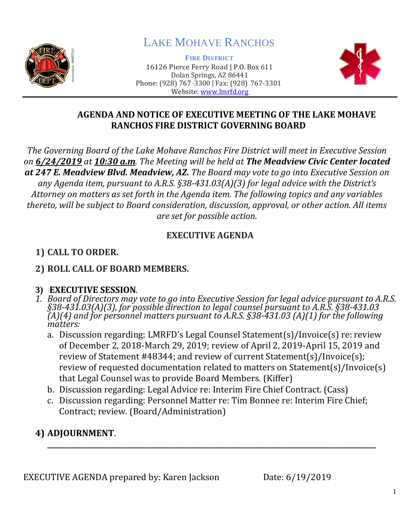

# LAKE MOHAVE RANCHOS

**FIRE DISTRICT** 16126 Pierce Ferry Road | P.O. Box 611 Dolan Springs, AZ 86441 Phone: (928) 767-3300 | Fax: (928) 767-3301 Website: [www.lmrfd.org](http://www.lmrfd.org/)



#### **AGENDA AND NOTICE OF EXECUTIVE MEETING OF THE LAKE MOHAVE RANCHOS FIRE DISTRICT GOVERNING BOARD**

*The Governing Board of the Lake Mohave Ranchos Fire District will meet in Executive Session on 6/24/2019 at 10:30 a.m. The Meeting will be held at The Meadview Civic Center located at 247 E. Meadview Blvd. Meadview, AZ. The Board may vote to go into Executive Session on any Agenda item, pursuant to A.R.S. §38-431.03(A)(3) for legal advice with the District's Attorney on matters as set forth in the Agenda item. The following topics and any variables thereto, will be subject to Board consideration, discussion, approval, or other action. All items are set for possible action.*

### **EXECUTIVE AGENDA**

## **1) CALL TO ORDER.**

#### **2) ROLL CALL OF BOARD MEMBERS.**

#### **3) EXECUTIVE SESSION***.*

- *1. Board of Directors may vote to go into Executive Session for legal advice pursuant to A.R.S. §38-431.03(A)(3), for possible direction to legal counsel pursuant to A.R.S. §38-431.03 (A)(4) and for personnel matters pursuant to A.R.S. §38-431.03 (A)(1) for the following matters:*
	- a. Discussion regarding: LMRFD's Legal Counsel Statement(s)/Invoice(s) re: review of December 2, 2018-March 29, 2019; review of April 2, 2019-April 15, 2019 and review of Statement #48344; and review of current Statement(s)/Invoice(s); review of requested documentation related to matters on Statement(s)/Invoice(s) that Legal Counsel was to provide Board Members. (Kiffer)
	- b. Discussion regarding: Legal Advice re: Interim Fire Chief Contract. (Cass)
	- c. Discussion regarding: Personnel Matter re: Tim Bonnee re: Interim Fire Chief; Contract; review. (Board/Administration)

#### **4) ADJOURNMENT**. **\_\_\_\_\_\_\_\_\_\_\_\_\_\_\_\_\_\_\_\_\_\_\_\_\_\_\_\_\_\_\_\_\_\_\_\_\_\_\_\_\_\_\_\_\_\_\_\_\_\_\_\_\_\_\_\_\_\_\_\_\_\_\_\_\_\_\_\_\_\_\_\_\_\_\_\_\_\_\_\_\_\_\_\_\_\_\_\_\_\_\_\_\_\_\_**